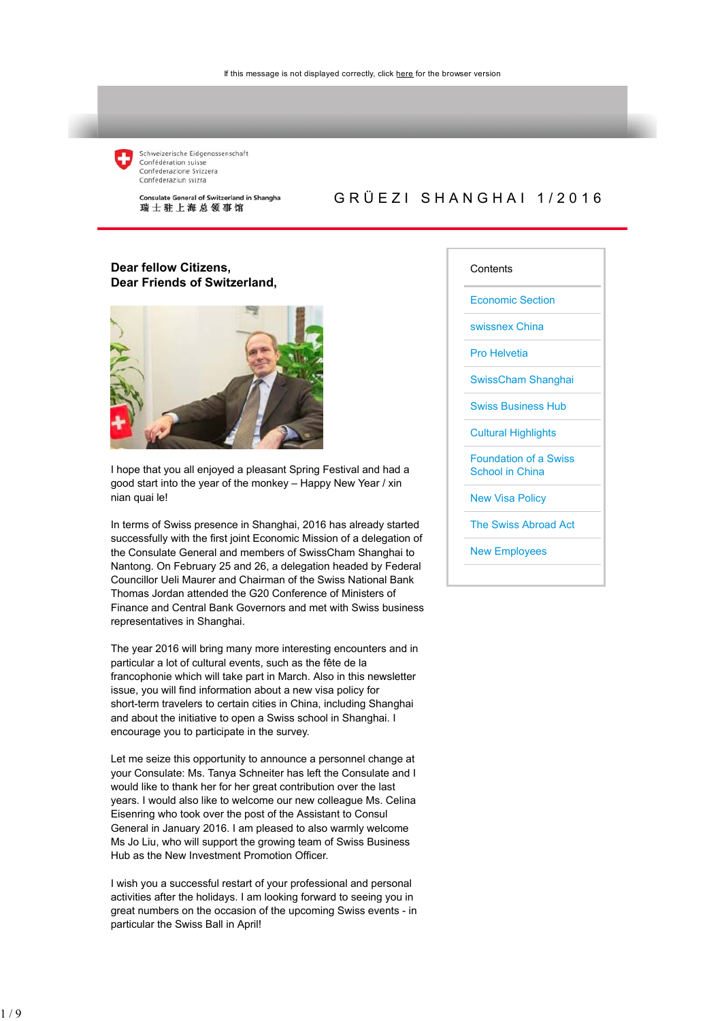

Schweizerische Eidgenossenschaft Confédération suisse Confederazione Svizzera Confederaziun svizra

Consulate General of Switzerland in Shanghai 瑞士驻上海总领事馆

## GRÜEZI SHANGHAI 1/2016

## **Dear fellow Citizens, Dear Friends of Switzerland,**



I hope that you all enjoyed a pleasant Spring Festival and had a good start into the year of the monkey – Happy New Year / xin nian quai le!

In terms of Swiss presence in Shanghai, 2016 has already started successfully with the first joint Economic Mission of a delegation of the Consulate General and members of SwissCham Shanghai to Nantong. On February 25 and 26, a delegation headed by Federal Councillor Ueli Maurer and Chairman of the Swiss National Bank Thomas Jordan attended the G20 Conference of Ministers of Finance and Central Bank Governors and met with Swiss business representatives in Shanghai.

The year 2016 will bring many more interesting encounters and in particular a lot of cultural events, such as the fête de la francophonie which will take part in March. Also in this newsletter issue, you will find information about a new visa policy for short-term travelers to certain cities in China, including Shanghai and about the initiative to open a Swiss school in Shanghai. I encourage you to participate in the survey.

Let me seize this opportunity to announce a personnel change at your Consulate: Ms. Tanya Schneiter has left the Consulate and I would like to thank her for her great contribution over the last years. I would also like to welcome our new colleague Ms. Celina Eisenring who took over the post of the Assistant to Consul General in January 2016. I am pleased to also warmly welcome Ms Jo Liu, who will support the growing team of Swiss Business Hub as the New Investment Promotion Officer.

I wish you a successful restart of your professional and personal activities after the holidays. I am looking forward to seeing you in great numbers on the occasion of the upcoming Swiss events - in particular the Swiss Ball in April!

#### **Contents**

Economic Section

swissnex China

Pro Helvetia

SwissCham Shanghai

Swiss Business Hub

Cultural Highlights

Foundation of a Swiss School in China

New Visa Policy

The Swiss Abroad Act

New Employees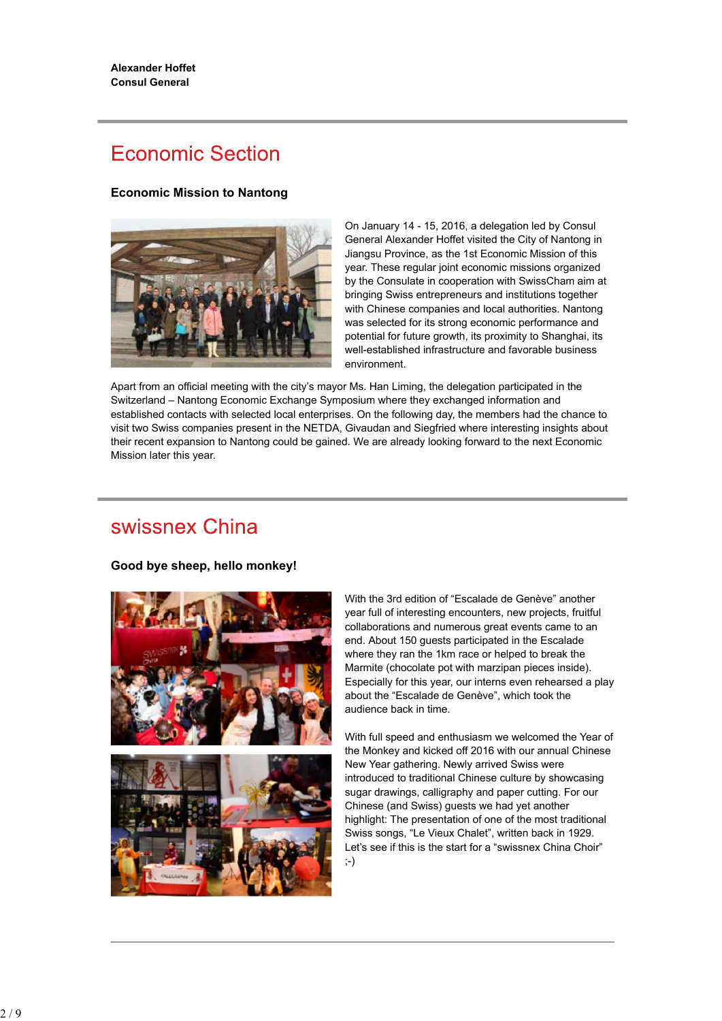# **Economic Section**

### **Economic Mission to Nantong**



On January 14 - 15, 2016, a delegation led by Consul General Alexander Hoffet visited the City of Nantong in Jiangsu Province, as the 1st Economic Mission of this year. These regular joint economic missions organized by the Consulate in cooperation with SwissCham aim at bringing Swiss entrepreneurs and institutions together with Chinese companies and local authorities. Nantong was selected for its strong economic performance and potential for future growth, its proximity to Shanghai, its well-established infrastructure and favorable business environment.

Apart from an official meeting with the city's mayor Ms. Han Liming, the delegation participated in the Switzerland – Nantong Economic Exchange Symposium where they exchanged information and established contacts with selected local enterprises. On the following day, the members had the chance to visit two Swiss companies present in the NETDA, Givaudan and Siegfried where interesting insights about their recent expansion to Nantong could be gained. We are already looking forward to the next Economic Mission later this year.

## swissnex China

**Good bye sheep, hello monkey!**



With the 3rd edition of "Escalade de Genève" another year full of interesting encounters, new projects, fruitful collaborations and numerous great events came to an end. About 150 guests participated in the Escalade where they ran the 1km race or helped to break the Marmite (chocolate pot with marzipan pieces inside). Especially for this year, our interns even rehearsed a play about the "Escalade de Genève", which took the audience back in time.

With full speed and enthusiasm we welcomed the Year of the Monkey and kicked off 2016 with our annual Chinese New Year gathering. Newly arrived Swiss were introduced to traditional Chinese culture by showcasing sugar drawings, calligraphy and paper cutting. For our Chinese (and Swiss) guests we had yet another highlight: The presentation of one of the most traditional Swiss songs, "Le Vieux Chalet", written back in 1929. Let's see if this is the start for a "swissnex China Choir"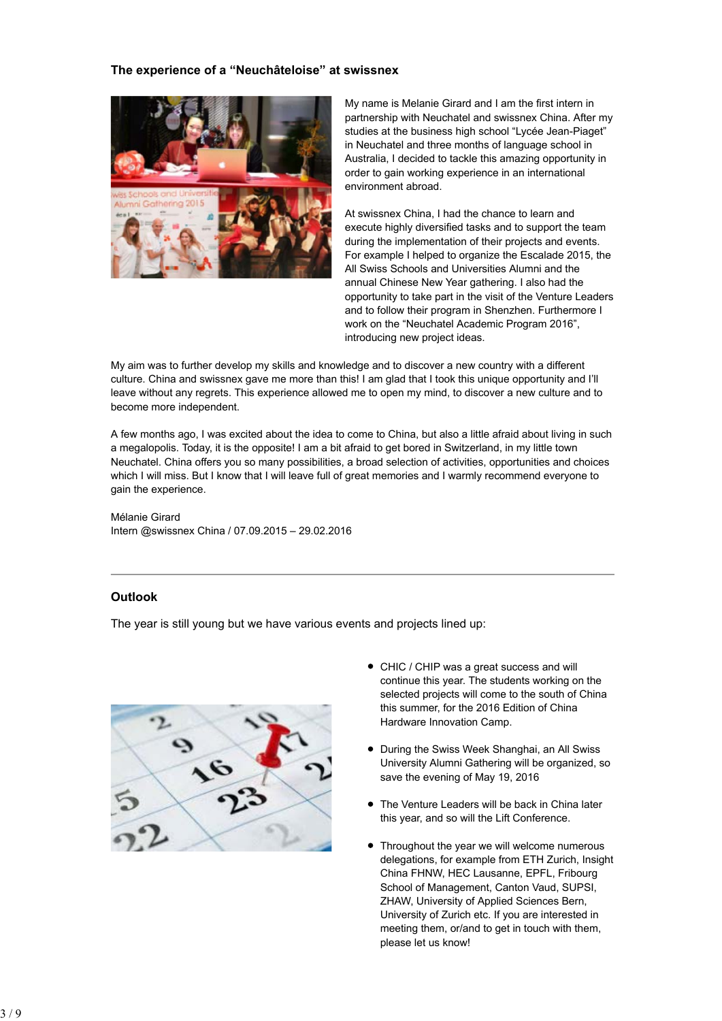### **The experience of a "Neuchâteloise" at swissnex**



My name is Melanie Girard and I am the first intern in partnership with Neuchatel and swissnex China. After my studies at the business high school "Lycée Jean-Piaget" in Neuchatel and three months of language school in Australia, I decided to tackle this amazing opportunity in order to gain working experience in an international environment abroad.

At swissnex China, I had the chance to learn and execute highly diversified tasks and to support the team during the implementation of their projects and events. For example I helped to organize the Escalade 2015, the All Swiss Schools and Universities Alumni and the annual Chinese New Year gathering. I also had the opportunity to take part in the visit of the Venture Leaders and to follow their program in Shenzhen. Furthermore I work on the "Neuchatel Academic Program 2016", introducing new project ideas.

My aim was to further develop my skills and knowledge and to discover a new country with a different culture. China and swissnex gave me more than this! I am glad that I took this unique opportunity and I'll leave without any regrets. This experience allowed me to open my mind, to discover a new culture and to become more independent.

A few months ago, I was excited about the idea to come to China, but also a little afraid about living in such a megalopolis. Today, it is the opposite! I am a bit afraid to get bored in Switzerland, in my little town Neuchatel. China offers you so many possibilities, a broad selection of activities, opportunities and choices which I will miss. But I know that I will leave full of great memories and I warmly recommend everyone to gain the experience.

#### Mélanie Girard Intern @swissnex China / 07.09.2015 – 29.02.2016

## **Outlook**

The year is still young but we have various events and projects lined up:



- CHIC / CHIP was a great success and will continue this year. The students working on the selected projects will come to the south of China this summer, for the 2016 Edition of China Hardware Innovation Camp.
- During the Swiss Week Shanghai, an All Swiss University Alumni Gathering will be organized, so save the evening of May 19, 2016
- The Venture Leaders will be back in China later this year, and so will the Lift Conference.
- Throughout the year we will welcome numerous delegations, for example from ETH Zurich, Insight China FHNW, HEC Lausanne, EPFL, Fribourg School of Management, Canton Vaud, SUPSI, ZHAW, University of Applied Sciences Bern, University of Zurich etc. If you are interested in meeting them, or/and to get in touch with them, please let us know!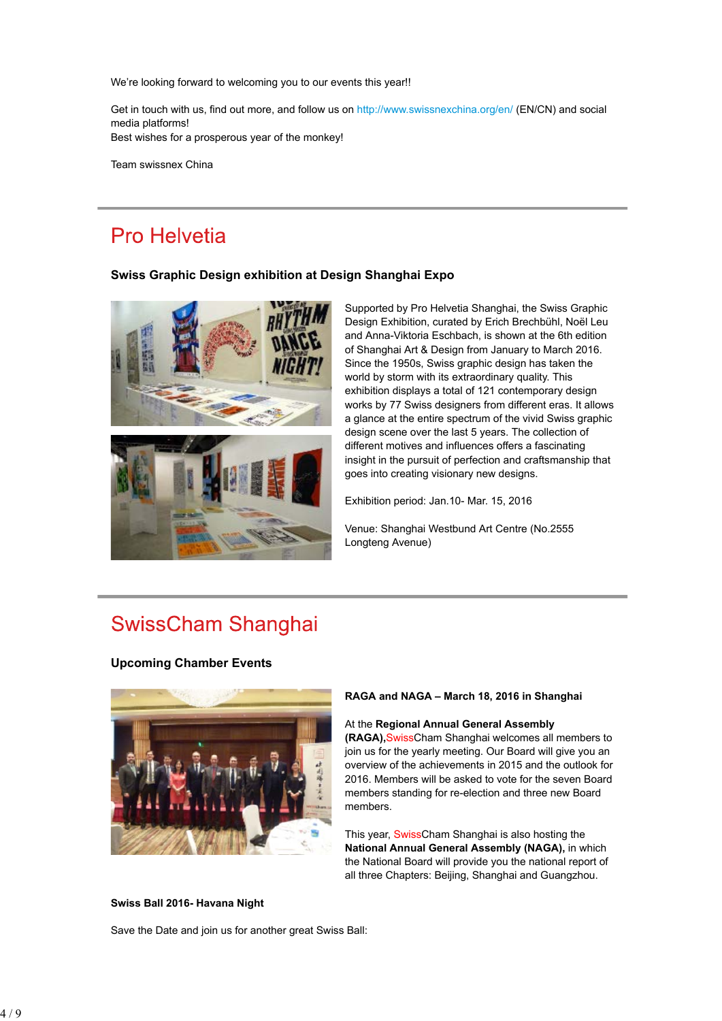We're looking forward to welcoming you to our events this year!!

Get in touch with us, find out more, and follow us on http://www.swissnexchina.org/en/ (EN/CN) and social media platforms! Best wishes for a prosperous year of the monkey!

Team swissnex China

## Pro Helvetia

### **Swiss Graphic Design exhibition at Design Shanghai Expo**



Supported by Pro Helvetia Shanghai, the Swiss Graphic Design Exhibition, curated by Erich Brechbühl, Noël Leu and Anna-Viktoria Eschbach, is shown at the 6th edition of Shanghai Art & Design from January to March 2016. Since the 1950s, Swiss graphic design has taken the world by storm with its extraordinary quality. This exhibition displays a total of 121 contemporary design works by 77 Swiss designers from different eras. It allows a glance at the entire spectrum of the vivid Swiss graphic design scene over the last 5 years. The collection of different motives and influences offers a fascinating insight in the pursuit of perfection and craftsmanship that goes into creating visionary new designs.

Exhibition period: Jan.10- Mar. 15, 2016

Venue: Shanghai Westbund Art Centre (No.2555 Longteng Avenue)

## **SwissCham Shanghai**

#### **Upcoming Chamber Events**



#### **RAGA and NAGA – March 18, 2016 in Shanghai**

#### At the **Regional Annual General Assembly**

**(RAGA),**SwissCham Shanghai welcomes all members to join us for the yearly meeting. Our Board will give you an overview of the achievements in 2015 and the outlook for 2016. Members will be asked to vote for the seven Board members standing for re-election and three new Board members.

This year, SwissCham Shanghai is also hosting the **National Annual General Assembly (NAGA),** in which the National Board will provide you the national report of all three Chapters: Beijing, Shanghai and Guangzhou.

#### **Swiss Ball 2016- Havana Night**

Save the Date and join us for another great Swiss Ball: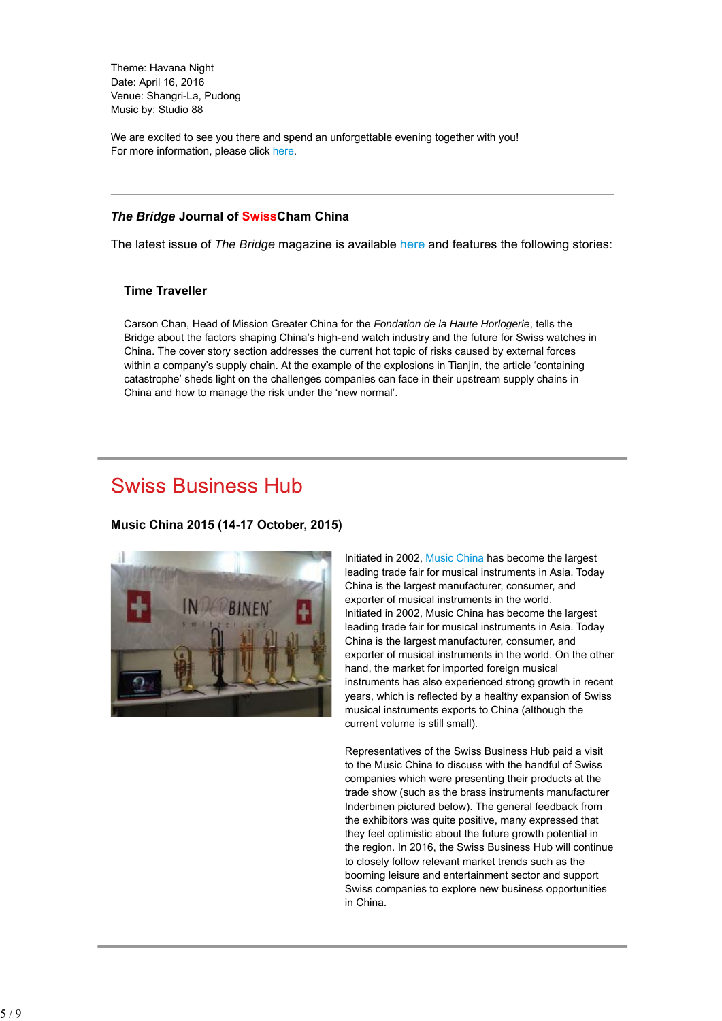Theme: Havana Night Date: April 16, 2016 Venue: Shangri-La, Pudong Music by: Studio 88

We are excited to see you there and spend an unforgettable evening together with you! For more information, please click here.

### *The Bridge* **Journal of SwissCham China**

The latest issue of *The Bridge* magazine is available here and features the following stories:

### **Time Traveller**

Carson Chan, Head of Mission Greater China for the *Fondation de la Haute Horlogerie*, tells the Bridge about the factors shaping China's high-end watch industry and the future for Swiss watches in China. The cover story section addresses the current hot topic of risks caused by external forces within a company's supply chain. At the example of the explosions in Tianjin, the article 'containing catastrophe' sheds light on the challenges companies can face in their upstream supply chains in China and how to manage the risk under the 'new normal'.

## **Swiss Business Hub**

### **Music China 2015 (14-17 October, 2015)**



Initiated in 2002, Music China has become the largest leading trade fair for musical instruments in Asia. Today China is the largest manufacturer, consumer, and exporter of musical instruments in the world. Initiated in 2002, Music China has become the largest leading trade fair for musical instruments in Asia. Today China is the largest manufacturer, consumer, and exporter of musical instruments in the world. On the other hand, the market for imported foreign musical instruments has also experienced strong growth in recent years, which is reflected by a healthy expansion of Swiss musical instruments exports to China (although the current volume is still small).

Representatives of the Swiss Business Hub paid a visit to the Music China to discuss with the handful of Swiss companies which were presenting their products at the trade show (such as the brass instruments manufacturer Inderbinen pictured below). The general feedback from the exhibitors was quite positive, many expressed that they feel optimistic about the future growth potential in the region. In 2016, the Swiss Business Hub will continue to closely follow relevant market trends such as the booming leisure and entertainment sector and support Swiss companies to explore new business opportunities in China.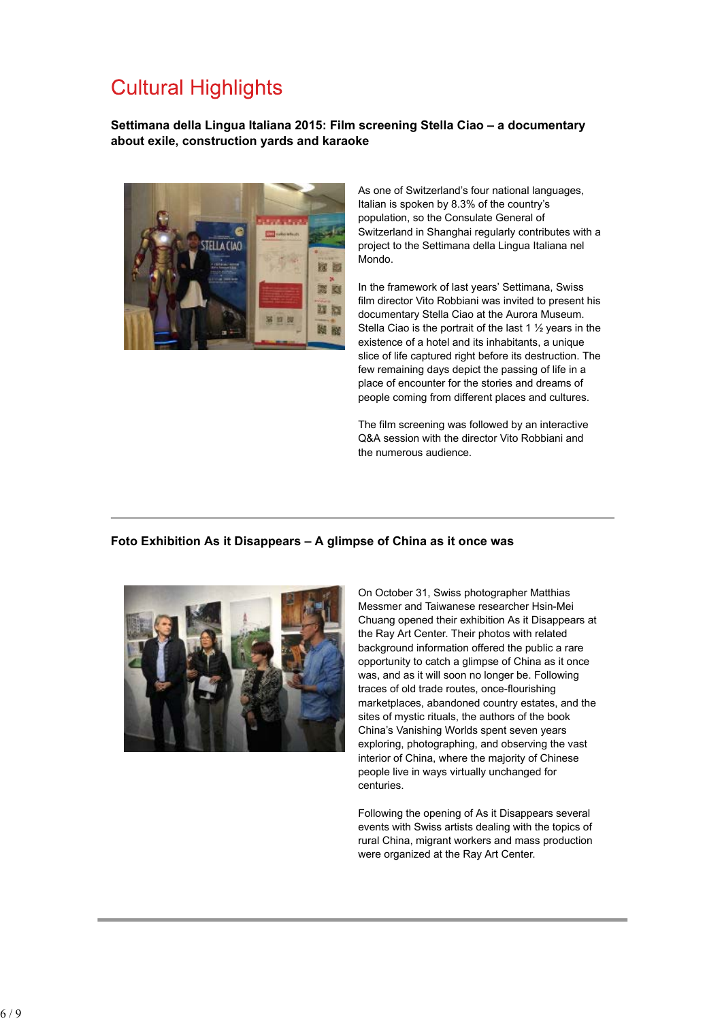# **Cultural Highlights**

**Settimana della Lingua Italiana 2015: Film screening Stella Ciao – a documentary about exile, construction yards and karaoke**



As one of Switzerland's four national languages, Italian is spoken by 8.3% of the country's population, so the Consulate General of Switzerland in Shanghai regularly contributes with a project to the Settimana della Lingua Italiana nel Mondo.

In the framework of last years' Settimana, Swiss film director Vito Robbiani was invited to present his documentary Stella Ciao at the Aurora Museum. Stella Ciao is the portrait of the last 1 ½ years in the existence of a hotel and its inhabitants, a unique slice of life captured right before its destruction. The few remaining days depict the passing of life in a place of encounter for the stories and dreams of people coming from different places and cultures.

The film screening was followed by an interactive Q&A session with the director Vito Robbiani and the numerous audience.

## **Foto Exhibition As it Disappears – A glimpse of China as it once was**



On October 31, Swiss photographer Matthias Messmer and Taiwanese researcher Hsin-Mei Chuang opened their exhibition As it Disappears at the Ray Art Center. Their photos with related background information offered the public a rare opportunity to catch a glimpse of China as it once was, and as it will soon no longer be. Following traces of old trade routes, once-flourishing marketplaces, abandoned country estates, and the sites of mystic rituals, the authors of the book China's Vanishing Worlds spent seven years exploring, photographing, and observing the vast interior of China, where the majority of Chinese people live in ways virtually unchanged for centuries.

Following the opening of As it Disappears several events with Swiss artists dealing with the topics of rural China, migrant workers and mass production were organized at the Ray Art Center.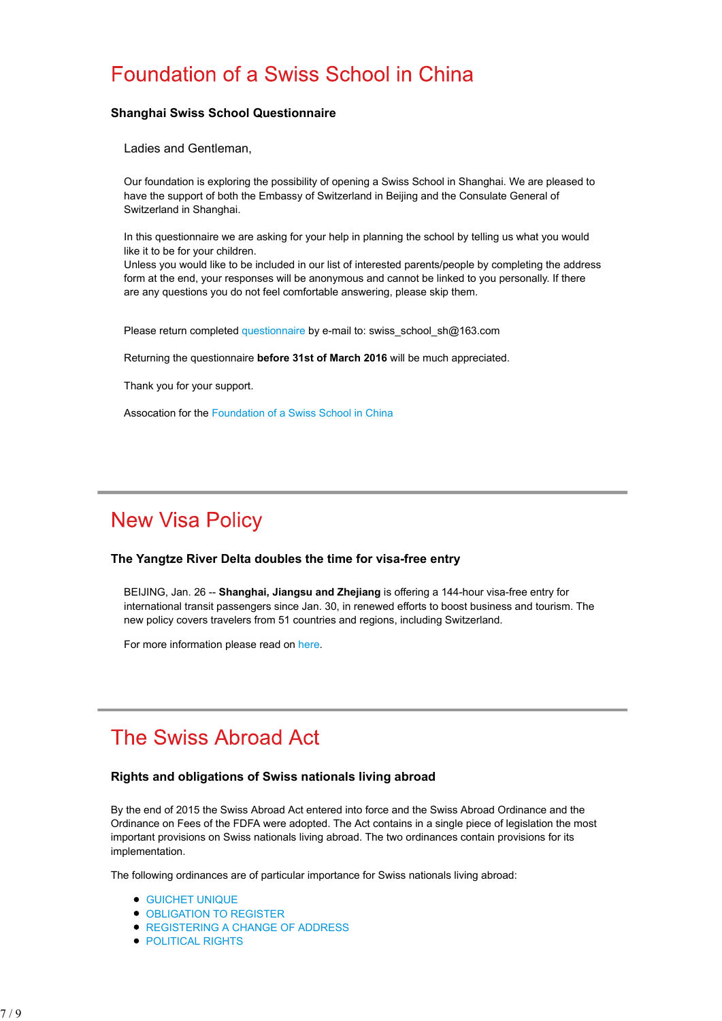## Foundation of a Swiss School in China

### **Shanghai Swiss School Questionnaire**

Ladies and Gentleman,

Our foundation is exploring the possibility of opening a Swiss School in Shanghai. We are pleased to have the support of both the Embassy of Switzerland in Beijing and the Consulate General of Switzerland in Shanghai.

In this questionnaire we are asking for your help in planning the school by telling us what you would like it to be for your children.

Unless you would like to be included in our list of interested parents/people by completing the address form at the end, your responses will be anonymous and cannot be linked to you personally. If there are any questions you do not feel comfortable answering, please skip them.

Please return completed questionnaire by e-mail to: swiss\_school\_sh@163.com

Returning the questionnaire **before 31st of March 2016** will be much appreciated.

Thank you for your support.

Assocation for the Foundation of a Swiss School in China

# **New Visa Policy**

### **The Yangtze River Delta doubles the time for visa-free entry**

BEIJING, Jan. 26 -- **Shanghai, Jiangsu and Zhejiang** is offering a 144-hour visa-free entry for international transit passengers since Jan. 30, in renewed efforts to boost business and tourism. The new policy covers travelers from 51 countries and regions, including Switzerland.

For more information please read on here.

## The Swiss Abroad Act

### **Rights and obligations of Swiss nationals living abroad**

By the end of 2015 the Swiss Abroad Act entered into force and the Swiss Abroad Ordinance and the Ordinance on Fees of the FDFA were adopted. The Act contains in a single piece of legislation the most important provisions on Swiss nationals living abroad. The two ordinances contain provisions for its implementation.

The following ordinances are of particular importance for Swiss nationals living abroad:

- GUICHET UNIQUE
- **OBLIGATION TO REGISTER**
- **REGISTERING A CHANGE OF ADDRESS**
- **POLITICAL RIGHTS**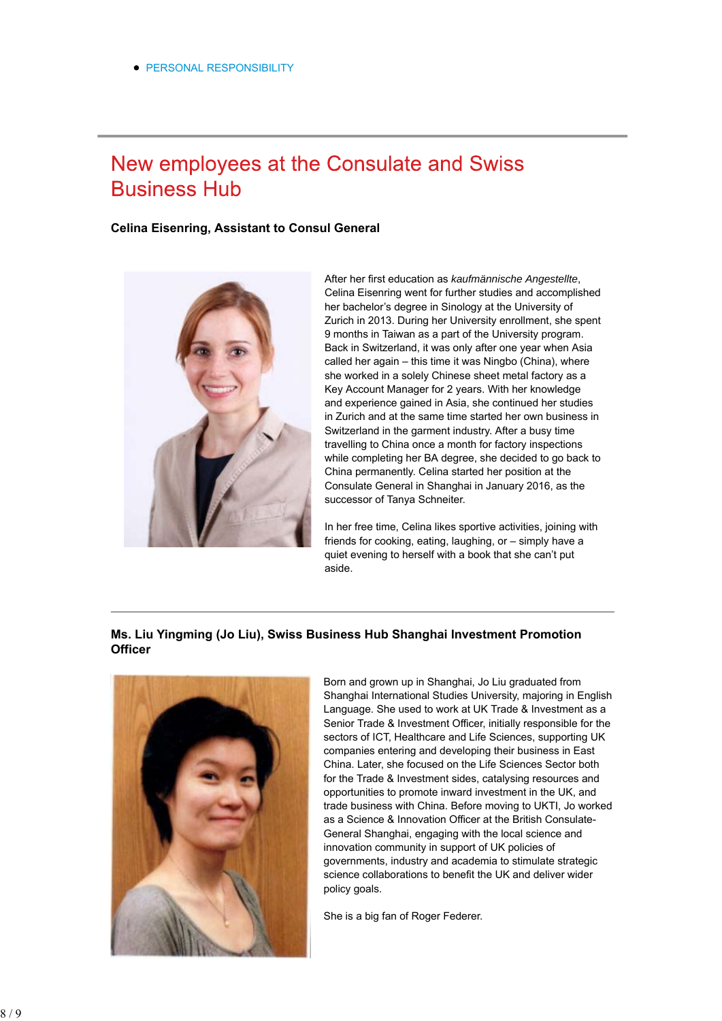## New employees at the Consulate and Swiss **Business Hub**

### **Celina Eisenring, Assistant to Consul General**



After her first education as *kaufmännische Angestellte*, Celina Eisenring went for further studies and accomplished her bachelor's degree in Sinology at the University of Zurich in 2013. During her University enrollment, she spent 9 months in Taiwan as a part of the University program. Back in Switzerland, it was only after one year when Asia called her again – this time it was Ningbo (China), where she worked in a solely Chinese sheet metal factory as a Key Account Manager for 2 years. With her knowledge and experience gained in Asia, she continued her studies in Zurich and at the same time started her own business in Switzerland in the garment industry. After a busy time travelling to China once a month for factory inspections while completing her BA degree, she decided to go back to China permanently. Celina started her position at the Consulate General in Shanghai in January 2016, as the successor of Tanya Schneiter.

In her free time, Celina likes sportive activities, joining with friends for cooking, eating, laughing, or – simply have a quiet evening to herself with a book that she can't put aside.

## **Ms. Liu Yingming (Jo Liu), Swiss Business Hub Shanghai Investment Promotion Officer**



Born and grown up in Shanghai, Jo Liu graduated from Shanghai International Studies University, majoring in English Language. She used to work at UK Trade & Investment as a Senior Trade & Investment Officer, initially responsible for the sectors of ICT, Healthcare and Life Sciences, supporting UK companies entering and developing their business in East China. Later, she focused on the Life Sciences Sector both for the Trade & Investment sides, catalysing resources and opportunities to promote inward investment in the UK, and trade business with China. Before moving to UKTI, Jo worked as a Science & Innovation Officer at the British Consulate-General Shanghai, engaging with the local science and innovation community in support of UK policies of governments, industry and academia to stimulate strategic science collaborations to benefit the UK and deliver wider policy goals.

She is a big fan of Roger Federer.